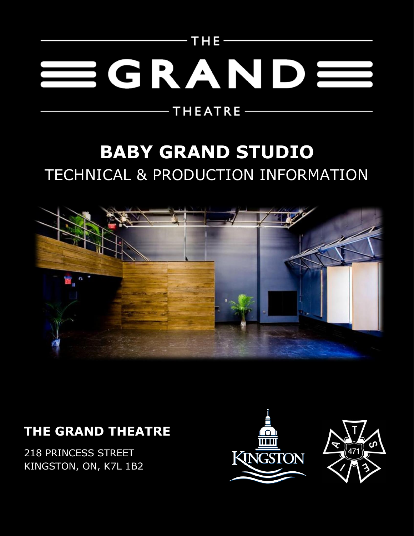# $-$ THE-SGRAND

 $-$  THEATRE  $-$ 

# **BABY GRAND STUDIO** TECHNICAL & PRODUCTION INFORMATION



# **THE GRAND THEATRE**

218 PRINCESS STREET KINGSTON, ON, K7L 1B2



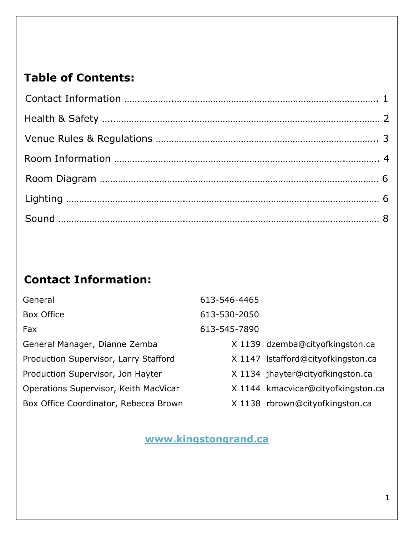#### **Table of Contents:**

## **Contact Information:**

| General                               | 613-546-4465 |                                    |
|---------------------------------------|--------------|------------------------------------|
| Box Office                            | 613-530-2050 |                                    |
| Fax                                   | 613-545-7890 |                                    |
| General Manager, Dianne Zemba         |              | X 1139 dzemba@cityofkingston.ca    |
| Production Supervisor, Larry Stafford |              | X 1147 Istafford@cityofkingston.ca |
| Production Supervisor, Jon Hayter     |              | X 1134 jhayter@cityofkingston.ca   |
| Operations Supervisor, Keith MacVicar |              | X 1144 kmacvicar@cityofkingston.ca |
| Box Office Coordinator, Rebecca Brown |              | X 1138 rbrown@cityofkingston.ca    |

#### **[www.kingstongrand.ca](http://www.kingstongrand.ca/)**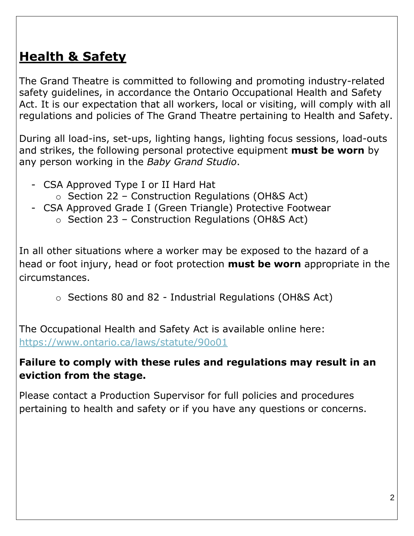# **Health & Safety**

The Grand Theatre is committed to following and promoting industry-related safety guidelines, in accordance the Ontario Occupational Health and Safety Act. It is our expectation that all workers, local or visiting, will comply with all regulations and policies of The Grand Theatre pertaining to Health and Safety.

During all load-ins, set-ups, lighting hangs, lighting focus sessions, load-outs and strikes, the following personal protective equipment **must be worn** by any person working in the *Baby Grand Studio*.

- CSA Approved Type I or II Hard Hat
	- o Section 22 Construction Regulations (OH&S Act)
- CSA Approved Grade I (Green Triangle) Protective Footwear
	- o Section 23 Construction Regulations (OH&S Act)

In all other situations where a worker may be exposed to the hazard of a head or foot injury, head or foot protection **must be worn** appropriate in the circumstances.

o Sections 80 and 82 - Industrial Regulations (OH&S Act)

The Occupational Health and Safety Act is available online here: <https://www.ontario.ca/laws/statute/90o01>

#### **Failure to comply with these rules and regulations may result in an eviction from the stage.**

Please contact a Production Supervisor for full policies and procedures pertaining to health and safety or if you have any questions or concerns.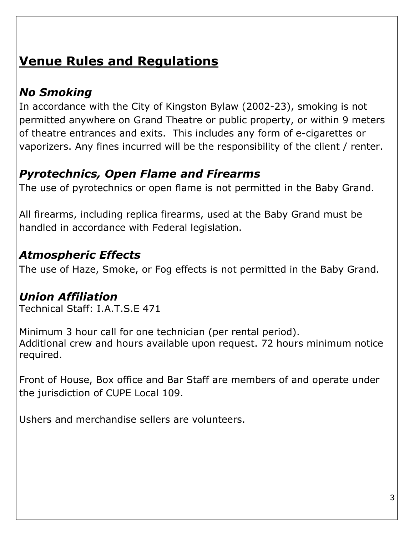# **Venue Rules and Regulations**

# *No Smoking*

In accordance with the City of Kingston Bylaw (2002-23), smoking is not permitted anywhere on Grand Theatre or public property, or within 9 meters of theatre entrances and exits. This includes any form of e-cigarettes or vaporizers. Any fines incurred will be the responsibility of the client / renter.

# *Pyrotechnics, Open Flame and Firearms*

The use of pyrotechnics or open flame is not permitted in the Baby Grand.

All firearms, including replica firearms, used at the Baby Grand must be handled in accordance with Federal legislation.

#### *Atmospheric Effects*

The use of Haze, Smoke, or Fog effects is not permitted in the Baby Grand.

## *Union Affiliation*

Technical Staff: I.A.T.S.E 471

Minimum 3 hour call for one technician (per rental period). Additional crew and hours available upon request. 72 hours minimum notice required.

Front of House, Box office and Bar Staff are members of and operate under the jurisdiction of CUPE Local 109.

Ushers and merchandise sellers are volunteers.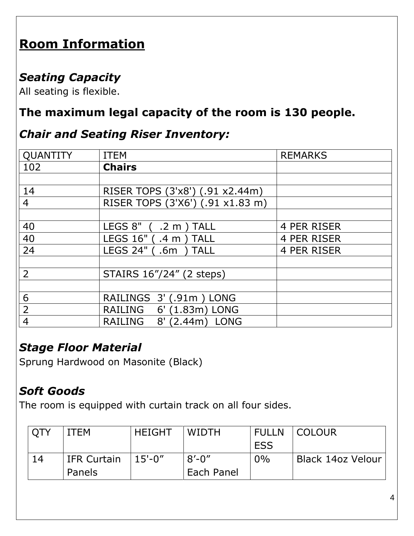# **Room Information**

#### *Seating Capacity*

All seating is flexible.

## **The maximum legal capacity of the room is 130 people.**

#### *Chair and Seating Riser Inventory:*

| <b>QUANTITY</b> | <b>ITEM</b>                                    | <b>REMARKS</b> |
|-----------------|------------------------------------------------|----------------|
| 102             | <b>Chairs</b>                                  |                |
|                 |                                                |                |
| 14              | RISER TOPS (3'x8') (.91 x2.44m)                |                |
| $\overline{4}$  | RISER TOPS (3'X6') (.91 x1.83 m)               |                |
|                 |                                                |                |
| 40              | $LEGS 8"$ (.2 m)<br><b>TALL</b>                | 4 PER RISER    |
| 40              | LEGS 16" (.4 m) TALL                           | 4 PER RISER    |
| 24              | LEGS 24" (.6m<br><b>TALL</b>                   | 4 PER RISER    |
|                 |                                                |                |
| $\overline{2}$  | STAIRS 16"/24" (2 steps)                       |                |
|                 |                                                |                |
| 6               | RAILINGS 3' (.91m) LONG                        |                |
| $\overline{2}$  | RAILING<br>6' (1.83m) LONG                     |                |
| $\overline{4}$  | <b>RAILING</b><br>(2.44m)<br>8'<br><b>LONG</b> |                |

#### *Stage Floor Material*

Sprung Hardwood on Masonite (Black)

#### *Soft Goods*

The room is equipped with curtain track on all four sides.

| <b>QTY</b> | <b>ITEM</b>              | <b>HEIGHT</b> | <b>WIDTH</b> | <b>FULLN</b> | <b>COLOUR</b>     |
|------------|--------------------------|---------------|--------------|--------------|-------------------|
|            |                          |               |              | <b>ESS</b>   |                   |
| 14         | <sup>1</sup> IFR Curtain | $15 - 0''$    | $8'$ -0"     | $0\%$        | Black 14oz Velour |
|            | Panels                   |               | Each Panel   |              |                   |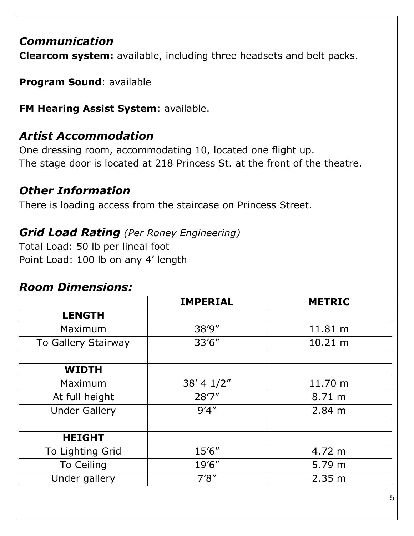#### *Communication*

**Clearcom system:** available, including three headsets and belt packs.

**Program Sound**: available

**FM Hearing Assist System**: available.

## *Artist Accommodation*

One dressing room, accommodating 10, located one flight up. The stage door is located at 218 Princess St. at the front of the theatre.

#### *Other Information*

There is loading access from the staircase on Princess Street.

## *Grid Load Rating (Per Roney Engineering)*

Total Load: 50 lb per lineal foot Point Load: 100 lb on any 4' length

#### *Room Dimensions:*

|                      | <b>IMPERIAL</b> | <b>METRIC</b> |  |
|----------------------|-----------------|---------------|--|
| <b>LENGTH</b>        |                 |               |  |
| Maximum              | 38'9"           | 11.81 m       |  |
| To Gallery Stairway  | 33'6''          | 10.21 m       |  |
|                      |                 |               |  |
| <b>WIDTH</b>         |                 |               |  |
| Maximum              | 38' 4 1/2"      | 11.70 m       |  |
| At full height       | 28'7''          | 8.71 m        |  |
| <b>Under Gallery</b> | 9'4''           | 2.84 m        |  |
|                      |                 |               |  |
| <b>HEIGHT</b>        |                 |               |  |
| To Lighting Grid     | 15'6"           | 4.72 m        |  |
| <b>To Ceiling</b>    | 19'6"           | 5.79 m        |  |
| Under gallery        | 7'8''           | 2.35 m        |  |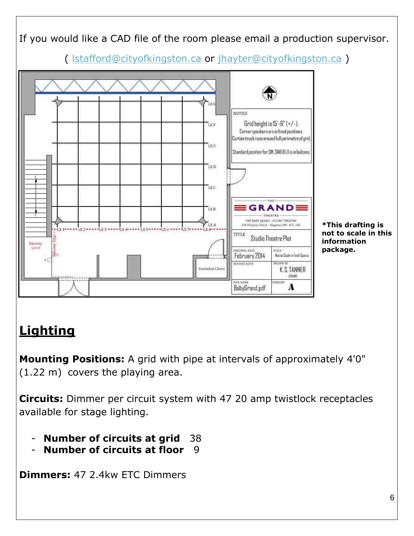

# **Lighting**

**Mounting Positions:** A grid with pipe at intervals of approximately 4'0" (1.22 m) covers the playing area.

**Circuits:** Dimmer per circuit system with 47 20 amp twistlock receptacles available for stage lighting.

- **Number of circuits at grid** 38
- **Number of circuits at floor** 9

**Dimmers:** 47 2.4kw ETC Dimmers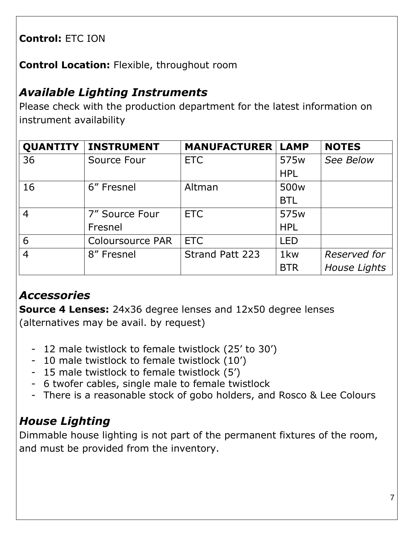#### **Control:** ETC ION

**Control Location:** Flexible, throughout room

#### *Available Lighting Instruments*

Please check with the production department for the latest information on instrument availability

|                | <b>QUANTITY   INSTRUMENT</b> | <b>MANUFACTURER   LAMP</b> |                  | <b>NOTES</b>        |
|----------------|------------------------------|----------------------------|------------------|---------------------|
| 36             | Source Four                  | <b>ETC</b>                 | 575 <sub>w</sub> | See Below           |
|                |                              |                            | <b>HPL</b>       |                     |
| 16             | 6" Fresnel                   | Altman                     | 500 <sub>w</sub> |                     |
|                |                              |                            | <b>BTL</b>       |                     |
| $\overline{4}$ | 7" Source Four               | <b>ETC</b>                 | 575 <sub>w</sub> |                     |
|                | Fresnel                      |                            | <b>HPL</b>       |                     |
| 6              | <b>Coloursource PAR</b>      | <b>ETC</b>                 | <b>LED</b>       |                     |
| $\overline{4}$ | 8" Fresnel                   | <b>Strand Patt 223</b>     | 1 <sub>kw</sub>  | Reserved for        |
|                |                              |                            | <b>BTR</b>       | <b>House Lights</b> |

#### *Accessories*

**Source 4 Lenses:** 24x36 degree lenses and 12x50 degree lenses (alternatives may be avail. by request)

- 12 male twistlock to female twistlock (25' to 30')
- 10 male twistlock to female twistlock (10')
- 15 male twistlock to female twistlock (5')
- 6 twofer cables, single male to female twistlock
- There is a reasonable stock of gobo holders, and Rosco & Lee Colours

## *House Lighting*

Dimmable house lighting is not part of the permanent fixtures of the room, and must be provided from the inventory.